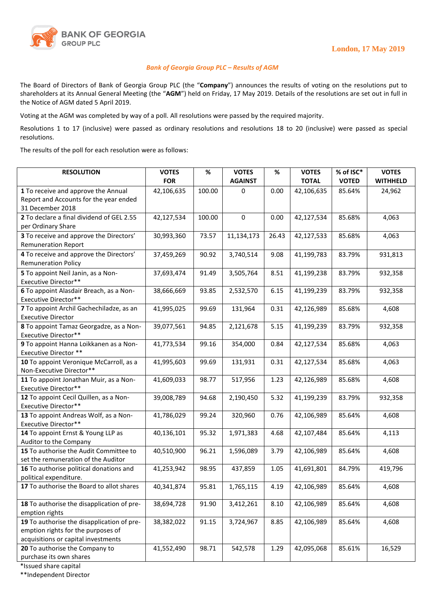

## *Bank of Georgia Group PLC – Results of AGM*

The Board of Directors of Bank of Georgia Group PLC (the "**Company**") announces the results of voting on the resolutions put to shareholders at its Annual General Meeting (the "**AGM**") held on Friday, 17 May 2019. Details of the resolutions are set out in full in the Notice of AGM dated 5 April 2019.

Voting at the AGM was completed by way of a poll. All resolutions were passed by the required majority.

Resolutions 1 to 17 (inclusive) were passed as ordinary resolutions and resolutions 18 to 20 (inclusive) were passed as special resolutions.

The results of the poll for each resolution were as follows:

| <b>RESOLUTION</b>                                                                                                       | <b>VOTES</b><br><b>FOR</b> | %      | <b>VOTES</b><br><b>AGAINST</b> | %     | <b>VOTES</b><br><b>TOTAL</b> | % of ISC*<br><b>VOTED</b> | <b>VOTES</b><br><b>WITHHELD</b> |
|-------------------------------------------------------------------------------------------------------------------------|----------------------------|--------|--------------------------------|-------|------------------------------|---------------------------|---------------------------------|
| 1 To receive and approve the Annual<br>Report and Accounts for the year ended<br>31 December 2018                       | 42,106,635                 | 100.00 | 0                              | 0.00  | 42,106,635                   | 85.64%                    | 24,962                          |
| 2 To declare a final dividend of GEL 2.55<br>per Ordinary Share                                                         | 42,127,534                 | 100.00 | $\mathbf 0$                    | 0.00  | 42,127,534                   | 85.68%                    | 4,063                           |
| 3 To receive and approve the Directors'<br><b>Remuneration Report</b>                                                   | 30,993,360                 | 73.57  | 11,134,173                     | 26.43 | 42,127,533                   | 85.68%                    | 4,063                           |
| 4 To receive and approve the Directors'<br><b>Remuneration Policy</b>                                                   | 37,459,269                 | 90.92  | 3,740,514                      | 9.08  | 41,199,783                   | 83.79%                    | 931,813                         |
| 5 To appoint Neil Janin, as a Non-<br>Executive Director**                                                              | 37,693,474                 | 91.49  | 3,505,764                      | 8.51  | 41,199,238                   | 83.79%                    | 932,358                         |
| 6 To appoint Alasdair Breach, as a Non-<br>Executive Director**                                                         | 38,666,669                 | 93.85  | 2,532,570                      | 6.15  | 41,199,239                   | 83.79%                    | 932,358                         |
| 7 To appoint Archil Gachechiladze, as an<br><b>Executive Director</b>                                                   | 41,995,025                 | 99.69  | 131,964                        | 0.31  | 42,126,989                   | 85.68%                    | 4,608                           |
| 8 To appoint Tamaz Georgadze, as a Non-<br><b>Executive Director**</b>                                                  | 39,077,561                 | 94.85  | 2,121,678                      | 5.15  | 41,199,239                   | 83.79%                    | 932,358                         |
| 9 To appoint Hanna Loikkanen as a Non-<br>Executive Director **                                                         | 41,773,534                 | 99.16  | 354,000                        | 0.84  | 42,127,534                   | 85.68%                    | 4,063                           |
| 10 To appoint Veronique McCarroll, as a<br>Non-Executive Director**                                                     | 41,995,603                 | 99.69  | 131,931                        | 0.31  | 42,127,534                   | 85.68%                    | 4,063                           |
| 11 To appoint Jonathan Muir, as a Non-<br>Executive Director**                                                          | 41,609,033                 | 98.77  | 517,956                        | 1.23  | 42,126,989                   | 85.68%                    | 4,608                           |
| 12 To appoint Cecil Quillen, as a Non-<br>Executive Director**                                                          | 39,008,789                 | 94.68  | 2,190,450                      | 5.32  | 41,199,239                   | 83.79%                    | 932,358                         |
| 13 To appoint Andreas Wolf, as a Non-<br>Executive Director**                                                           | 41,786,029                 | 99.24  | 320,960                        | 0.76  | 42,106,989                   | 85.64%                    | 4,608                           |
| 14 To appoint Ernst & Young LLP as<br>Auditor to the Company                                                            | 40,136,101                 | 95.32  | 1,971,383                      | 4.68  | 42,107,484                   | 85.64%                    | 4,113                           |
| 15 To authorise the Audit Committee to<br>set the remuneration of the Auditor                                           | 40,510,900                 | 96.21  | 1,596,089                      | 3.79  | 42,106,989                   | 85.64%                    | 4,608                           |
| 16 To authorise political donations and<br>political expenditure.                                                       | 41,253,942                 | 98.95  | 437,859                        | 1.05  | 41,691,801                   | 84.79%                    | 419,796                         |
| 17 To authorise the Board to allot shares                                                                               | 40,341,874                 | 95.81  | 1,765,115                      | 4.19  | 42,106,989                   | 85.64%                    | 4,608                           |
| 18 To authorise the disapplication of pre-<br>emption rights                                                            | 38,694,728                 | 91.90  | 3,412,261                      | 8.10  | 42,106,989                   | 85.64%                    | 4,608                           |
| 19 To authorise the disapplication of pre-<br>emption rights for the purposes of<br>acquisitions or capital investments | 38,382,022                 | 91.15  | 3,724,967                      | 8.85  | 42,106,989                   | 85.64%                    | 4,608                           |
| 20 To authorise the Company to<br>purchase its own shares                                                               | 41,552,490                 | 98.71  | 542,578                        | 1.29  | 42,095,068                   | 85.61%                    | 16,529                          |

\*Issued share capital

\*\*Independent Director